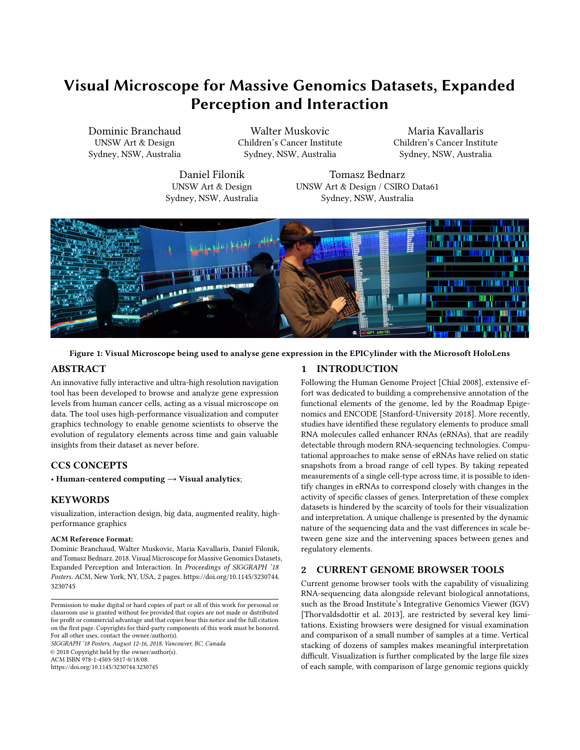# Visual Microscope for Massive Genomics Datasets, Expanded Perception and Interaction

Dominic Branchaud UNSW Art & Design Sydney, NSW, Australia

Walter Muskovic Children's Cancer Institute Sydney, NSW, Australia

Maria Kavallaris Children's Cancer Institute Sydney, NSW, Australia

Daniel Filonik UNSW Art & Design Sydney, NSW, Australia

Tomasz Bednarz UNSW Art & Design / CSIRO Data61 Sydney, NSW, Australia



Figure 1: Visual Microscope being used to analyse gene expression in the EPICylinder with the Microsoft HoloLens

# ABSTRACT

An innovative fully interactive and ultra-high resolution navigation tool has been developed to browse and analyze gene expression levels from human cancer cells, acting as a visual microscope on data. The tool uses high-performance visualization and computer graphics technology to enable genome scientists to observe the evolution of regulatory elements across time and gain valuable insights from their dataset as never before.

# CCS CONCEPTS

• Human-centered computing  $\rightarrow$  Visual analytics;

### **KEYWORDS**

visualization, interaction design, big data, augmented reality, highperformance graphics

#### ACM Reference Format:

Dominic Branchaud, Walter Muskovic, Maria Kavallaris, Daniel Filonik, and Tomasz Bednarz. 2018. Visual Microscope for Massive Genomics Datasets, Expanded Perception and Interaction. In Proceedings of SIGGRAPH '18 Posters. ACM, New York, NY, USA, [2](#page-1-0) pages. [https://doi.org/10.1145/3230744.](https://doi.org/10.1145/3230744.3230745) [3230745](https://doi.org/10.1145/3230744.3230745)

SIGGRAPH '18 Posters, August 12-16, 2018, Vancouver, BC, Canada © 2018 Copyright held by the owner/author(s). ACM ISBN 978-1-4503-5817-0/18/08. <https://doi.org/10.1145/3230744.3230745>

# 1 INTRODUCTION

Following the Human Genome Project [\[Chial 2008\]](#page-1-1), extensive effort was dedicated to building a comprehensive annotation of the functional elements of the genome, led by the Roadmap Epigenomics and ENCODE [\[Stanford-University 2018\]](#page-1-2). More recently, studies have identified these regulatory elements to produce small RNA molecules called enhancer RNAs (eRNAs), that are readily detectable through modern RNA-sequencing technologies. Computational approaches to make sense of eRNAs have relied on static snapshots from a broad range of cell types. By taking repeated measurements of a single cell-type across time, it is possible to identify changes in eRNAs to correspond closely with changes in the activity of specific classes of genes. Interpretation of these complex datasets is hindered by the scarcity of tools for their visualization and interpretation. A unique challenge is presented by the dynamic nature of the sequencing data and the vast differences in scale between gene size and the intervening spaces between genes and regulatory elements.

# 2 CURRENT GENOME BROWSER TOOLS

Current genome browser tools with the capability of visualizing RNA-sequencing data alongside relevant biological annotations, such as the Broad Institute's Integrative Genomics Viewer (IGV) [\[Thorvaldsdottir et al.](#page-1-3) [2013\]](#page-1-3), are restricted by several key limitations. Existing browsers were designed for visual examination and comparison of a small number of samples at a time. Vertical stacking of dozens of samples makes meaningful interpretation difficult. Visualization is further complicated by the large file sizes of each sample, with comparison of large genomic regions quickly

Permission to make digital or hard copies of part or all of this work for personal or classroom use is granted without fee provided that copies are not made or distributed for profit or commercial advantage and that copies bear this notice and the full citation on the first page. Copyrights for third-party components of this work must be honored. For all other uses, contact the owner/author(s).